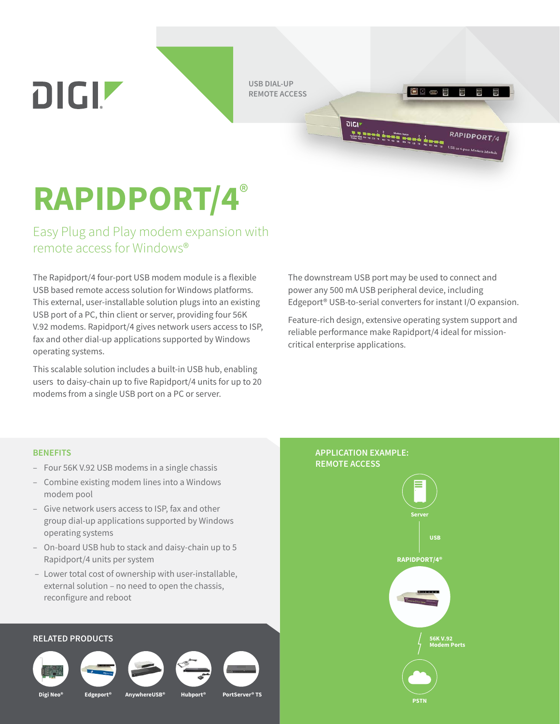**USB DIAL-UP REMOTE ACCESS**

**RAPIDPORT/4**®

DIGIZ

Easy Plug and Play modem expansion with remote access for Windows®

The Rapidport/4 four-port USB modem module is a flexible USB based remote access solution for Windows platforms. This external, user-installable solution plugs into an existing USB port of a PC, thin client or server, providing four 56K V.92 modems. Rapidport/4 gives network users access to ISP, fax and other dial-up applications supported by Windows operating systems.

This scalable solution includes a built-in USB hub, enabling users to daisy-chain up to five Rapidport/4 units for up to 20 modems from a single USB port on a PC or server.

The downstream USB port may be used to connect and power any 500 mA USB peripheral device, including Edgeport® USB-to-serial converters for instant I/O expansion.

8000

 $\text{RAPIDPORT}_{\underbrace{\sum_{i=1}^{n} \sum_{j=1}^{n} \sum_{j=1}^{n} \sum_{j=1}^{n} \sum_{j=1}^{n} \sum_{j=1}^{n} \sum_{j=1}^{n} \sum_{j=1}^{n} \sum_{j=1}^{n} \sum_{j=1}^{n} \sum_{j=1}^{n} \sum_{j=1}^{n} \sum_{j=1}^{n} \sum_{j=1}^{n} \sum_{j=1}^{n} \sum_{j=1}^{n} \sum_{j=1}^{n} \sum_{j=1}^{n} \sum_{j=1}^{n} \sum_{j=1}^{n} \sum_{j=1}^{n$ 

RAPIDPORT/4

Feature-rich design, extensive operating system support and reliable performance make Rapidport/4 ideal for missioncritical enterprise applications.

## **BENEFITS**

- Four 56K V.92 USB modems in a single chassis
- Combine existing modem lines into a Windows modem pool
- Give network users access to ISP, fax and other group dial-up applications supported by Windows operating systems
- On-board USB hub to stack and daisy-chain up to 5 Rapidport/4 units per system
- Lower total cost of ownership with user-installable, external solution – no need to open the chassis, reconfigure and reboot

## **RELATED PRODUCTS**







**Digi Neo® Edgeport® AnywhereUSB® Hubport® PortServer® TS**



## **APPLICATION EXAMPLE: REMOTE ACCESS**

יוטוס